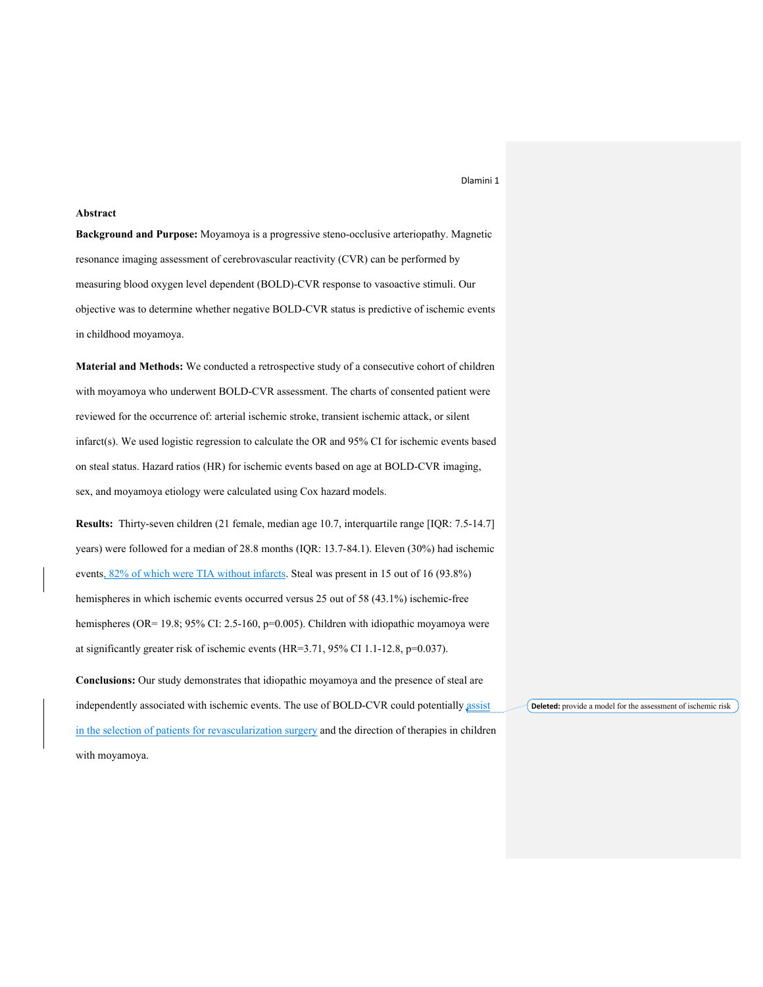# **Abstract**

**Background and Purpose:** Moyamoya is a progressive steno-occlusive arteriopathy. Magnetic resonance imaging assessment of cerebrovascular reactivity (CVR) can be performed by measuring blood oxygen level dependent (BOLD)-CVR response to vasoactive stimuli. Our objective was to determine whether negative BOLD-CVR status is predictive of ischemic events in childhood moyamoya.

**Material and Methods:** We conducted a retrospective study of a consecutive cohort of children with moyamoya who underwent BOLD-CVR assessment. The charts of consented patient were reviewed for the occurrence of: arterial ischemic stroke, transient ischemic attack, or silent infarct(s). We used logistic regression to calculate the OR and 95% CI for ischemic events based on steal status. Hazard ratios (HR) for ischemic events based on age at BOLD-CVR imaging, sex, and moyamoya etiology were calculated using Cox hazard models.

**Results:** Thirty-seven children (21 female, median age 10.7, interquartile range [IQR: 7.5-14.7] years) were followed for a median of 28.8 months (IQR: 13.7-84.1). Eleven (30%) had ischemic events, 82% of which were TIA without infarcts. Steal was present in 15 out of 16 (93.8%) hemispheres in which ischemic events occurred versus 25 out of 58 (43.1%) ischemic-free hemispheres (OR= 19.8; 95% CI: 2.5-160, p=0.005). Children with idiopathic moyamoya were at significantly greater risk of ischemic events (HR=3.71, 95% CI 1.1-12.8, p=0.037).

**Conclusions:** Our study demonstrates that idiopathic moyamoya and the presence of steal are independently associated with ischemic events. The use of BOLD-CVR could potentially assist in the selection of patients for revascularization surgery and the direction of therapies in children with moyamoya.

**Deleted:** provide a model for the assessment of ischemic risk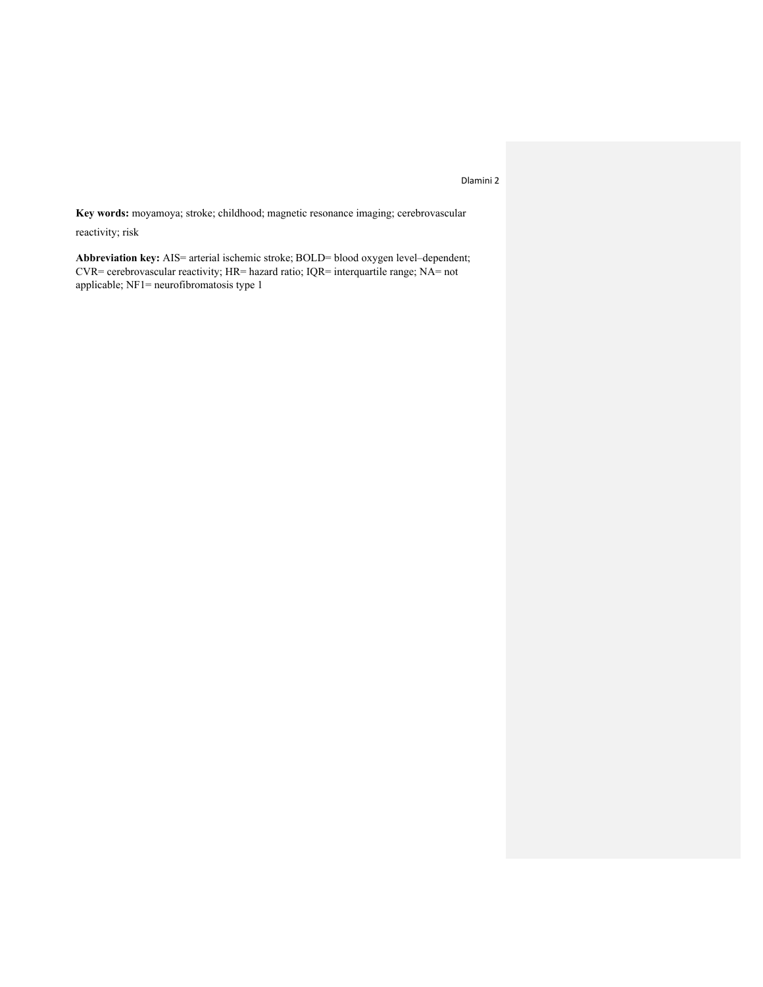**Key words:** moyamoya; stroke; childhood; magnetic resonance imaging; cerebrovascular

reactivity; risk

**Abbreviation key:** AIS= arterial ischemic stroke; BOLD= blood oxygen level–dependent; CVR= cerebrovascular reactivity; HR= hazard ratio; IQR= interquartile range; NA= not applicable; NF1= neurofibromatosis type 1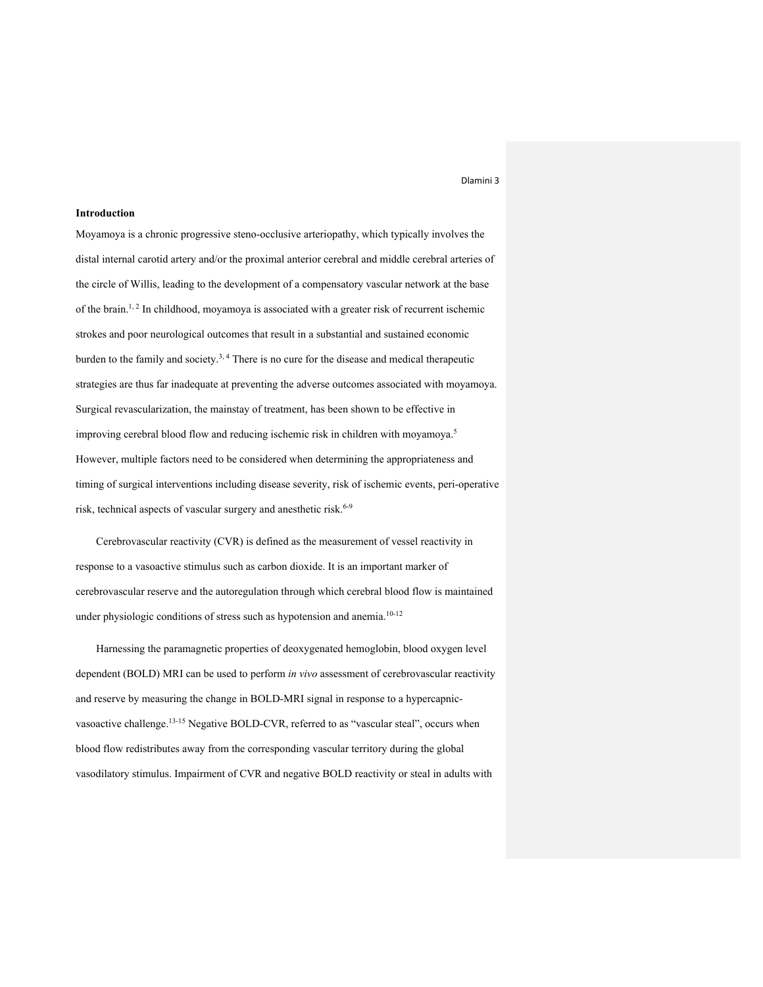### **Introduction**

Moyamoya is a chronic progressive steno-occlusive arteriopathy, which typically involves the distal internal carotid artery and/or the proximal anterior cerebral and middle cerebral arteries of the circle of Willis, leading to the development of a compensatory vascular network at the base of the brain.<sup>1, 2</sup> In childhood, moyamoya is associated with a greater risk of recurrent ischemic strokes and poor neurological outcomes that result in a substantial and sustained economic burden to the family and society.<sup>3, 4</sup> There is no cure for the disease and medical therapeutic strategies are thus far inadequate at preventing the adverse outcomes associated with moyamoya. Surgical revascularization, the mainstay of treatment, has been shown to be effective in improving cerebral blood flow and reducing ischemic risk in children with moyamoya.5 However, multiple factors need to be considered when determining the appropriateness and timing of surgical interventions including disease severity, risk of ischemic events, peri-operative risk, technical aspects of vascular surgery and anesthetic risk. 6-9

Cerebrovascular reactivity (CVR) is defined as the measurement of vessel reactivity in response to a vasoactive stimulus such as carbon dioxide. It is an important marker of cerebrovascular reserve and the autoregulation through which cerebral blood flow is maintained under physiologic conditions of stress such as hypotension and anemia.<sup>10-12</sup>

Harnessing the paramagnetic properties of deoxygenated hemoglobin, blood oxygen level dependent (BOLD) MRI can be used to perform *in vivo* assessment of cerebrovascular reactivity and reserve by measuring the change in BOLD-MRI signal in response to a hypercapnicvasoactive challenge.<sup>13-15</sup> Negative BOLD-CVR, referred to as "vascular steal", occurs when blood flow redistributes away from the corresponding vascular territory during the global vasodilatory stimulus. Impairment of CVR and negative BOLD reactivity or steal in adults with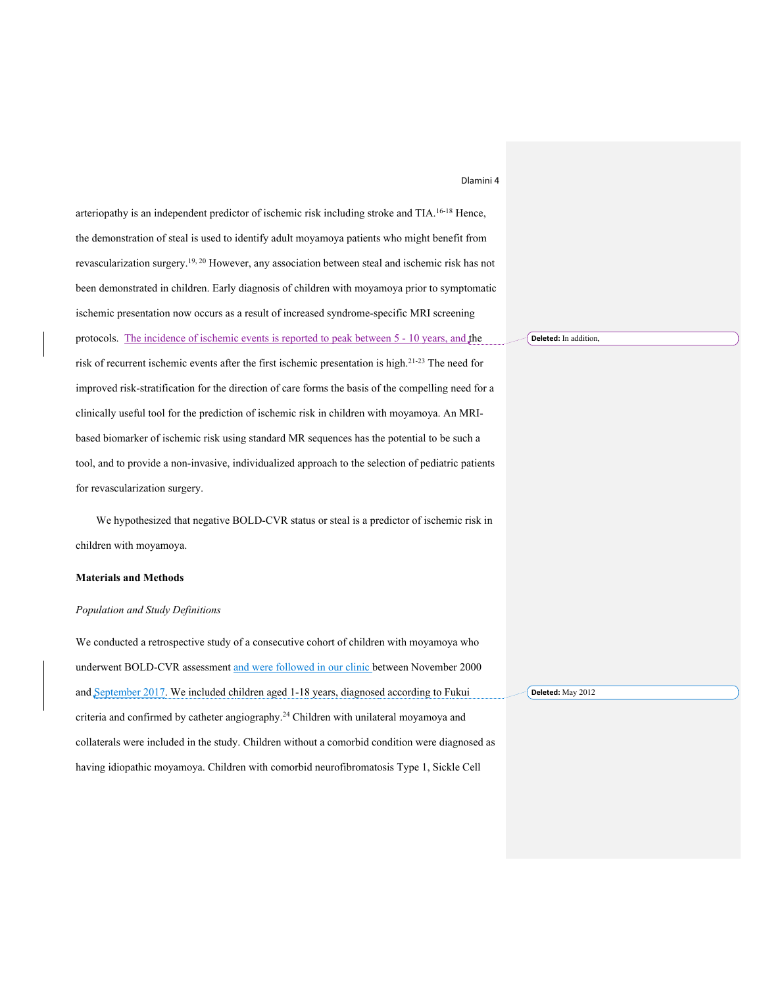| Dlamini 4 |  |  |  |  |
|-----------|--|--|--|--|
|-----------|--|--|--|--|

arteriopathy is an independent predictor of ischemic risk including stroke and TIA.<sup>16-18</sup> Hence, the demonstration of steal is used to identify adult moyamoya patients who might benefit from revascularization surgery.<sup>19, 20</sup> However, any association between steal and ischemic risk has not been demonstrated in children. Early diagnosis of children with moyamoya prior to symptomatic ischemic presentation now occurs as a result of increased syndrome-specific MRI screening protocols. The incidence of ischemic events is reported to peak between 5 - 10 years, and the risk of recurrent ischemic events after the first ischemic presentation is high.<sup>21-23</sup> The need for improved risk-stratification for the direction of care forms the basis of the compelling need for a clinically useful tool for the prediction of ischemic risk in children with moyamoya. An MRIbased biomarker of ischemic risk using standard MR sequences has the potential to be such a tool, and to provide a non-invasive, individualized approach to the selection of pediatric patients for revascularization surgery.

We hypothesized that negative BOLD-CVR status or steal is a predictor of ischemic risk in children with moyamoya.

# **Materials and Methods**

# *Population and Study Definitions*

We conducted a retrospective study of a consecutive cohort of children with moyamoya who underwent BOLD-CVR assessment and were followed in our clinic between November 2000 and September 2017. We included children aged 1-18 years, diagnosed according to Fukui criteria and confirmed by catheter angiography. <sup>24</sup> Children with unilateral moyamoya and collaterals were included in the study. Children without a comorbid condition were diagnosed as having idiopathic moyamoya. Children with comorbid neurofibromatosis Type 1, Sickle Cell **Deleted:** May 2012

#### **Deleted:** In addition,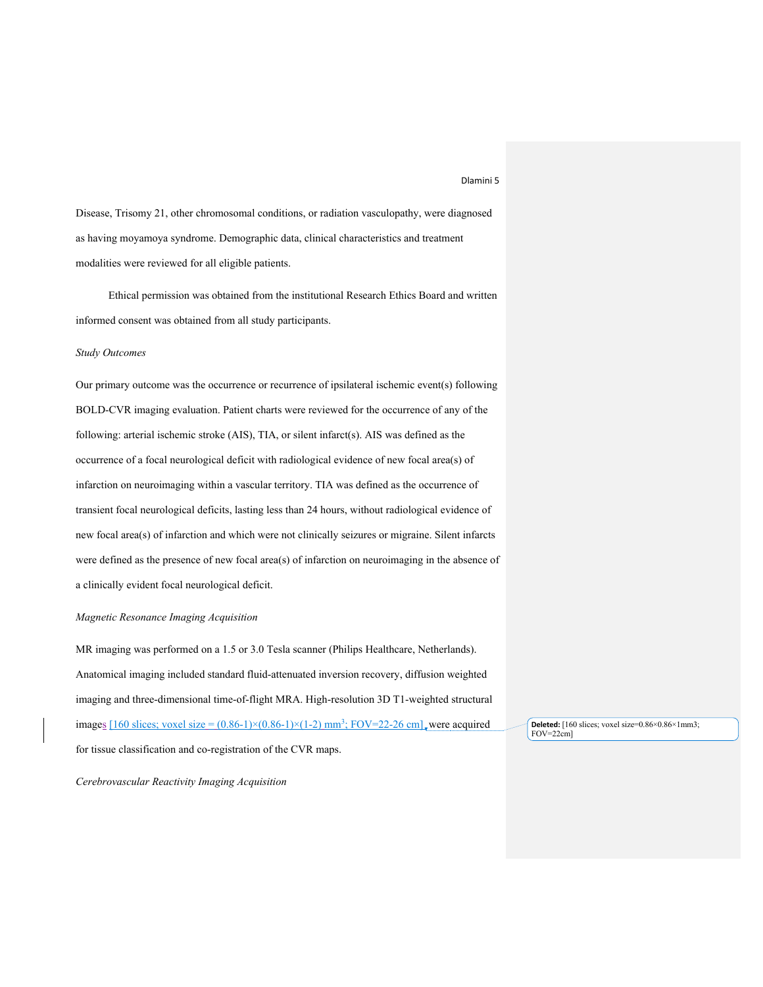Disease, Trisomy 21, other chromosomal conditions, or radiation vasculopathy, were diagnosed as having moyamoya syndrome. Demographic data, clinical characteristics and treatment modalities were reviewed for all eligible patients.

Ethical permission was obtained from the institutional Research Ethics Board and written informed consent was obtained from all study participants.

## *Study Outcomes*

Our primary outcome was the occurrence or recurrence of ipsilateral ischemic event(s) following BOLD-CVR imaging evaluation. Patient charts were reviewed for the occurrence of any of the following: arterial ischemic stroke (AIS), TIA, or silent infarct(s). AIS was defined as the occurrence of a focal neurological deficit with radiological evidence of new focal area(s) of infarction on neuroimaging within a vascular territory. TIA was defined as the occurrence of transient focal neurological deficits, lasting less than 24 hours, without radiological evidence of new focal area(s) of infarction and which were not clinically seizures or migraine. Silent infarcts were defined as the presence of new focal area(s) of infarction on neuroimaging in the absence of a clinically evident focal neurological deficit.

# *Magnetic Resonance Imaging Acquisition*

MR imaging was performed on a 1.5 or 3.0 Tesla scanner (Philips Healthcare, Netherlands). Anatomical imaging included standard fluid-attenuated inversion recovery, diffusion weighted imaging and three-dimensional time-of-flight MRA. High-resolution 3D T1-weighted structural images  $[160 \text{ slices}; \text{voxel size} = (0.86-1) \times (0.86-1) \times (1-2) \text{ mm}^3$ ; FOV=22-26 cm], were acquired for tissue classification and co-registration of the CVR maps.

*Cerebrovascular Reactivity Imaging Acquisition* 

**Deleted:** [160 slices; voxel size=0.86×0.86×1mm3;  $FOV = 22$ cm]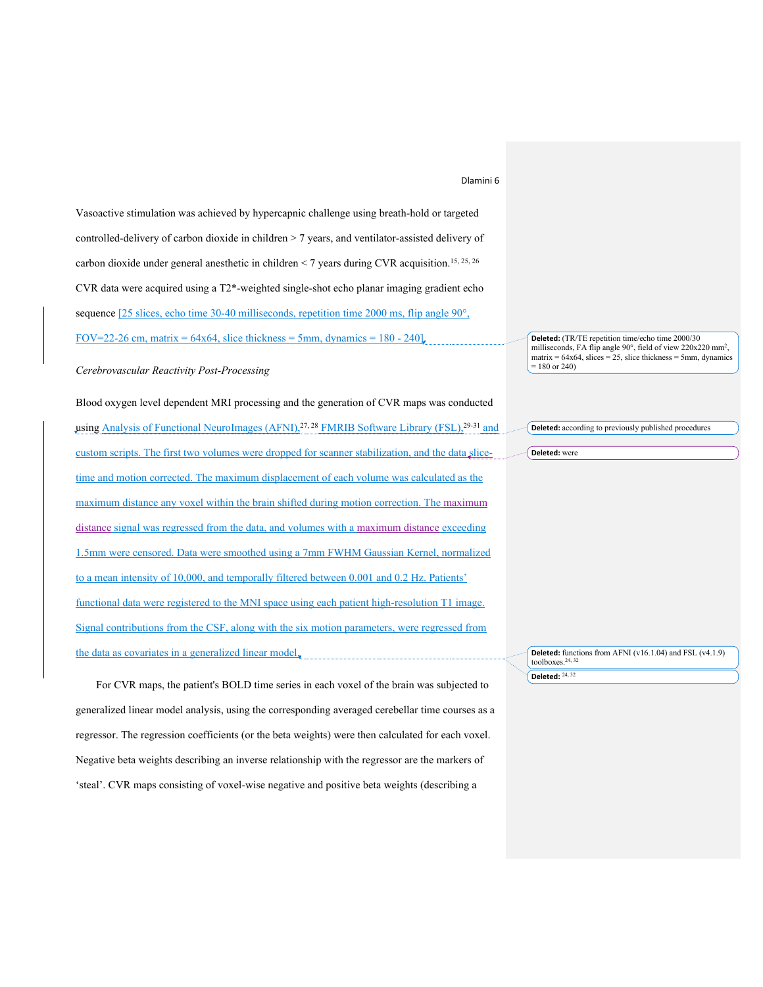Vasoactive stimulation was achieved by hypercapnic challenge using breath-hold or targeted controlled-delivery of carbon dioxide in children > 7 years, and ventilator-assisted delivery of carbon dioxide under general anesthetic in children < 7 years during CVR acquisition.15, 25, 26 CVR data were acquired using a T2\*-weighted single-shot echo planar imaging gradient echo sequence [25 slices, echo time 30-40 milliseconds, repetition time 2000 ms, flip angle 90°, FOV=22-26 cm, matrix =  $64x64$ , slice thickness = 5mm, dynamics =  $180 - 240$ .

*Cerebrovascular Reactivity Post-Processing* 

Blood oxygen level dependent MRI processing and the generation of CVR maps was conducted using Analysis of Functional NeuroImages (AFNI), $27.28$  FMRIB Software Library (FSL), $29.31$  and custom scripts. The first two volumes were dropped for scanner stabilization, and the data slicetime and motion corrected. The maximum displacement of each volume was calculated as the maximum distance any voxel within the brain shifted during motion correction. The maximum distance signal was regressed from the data, and volumes with a maximum distance exceeding 1.5mm were censored. Data were smoothed using a 7mm FWHM Gaussian Kernel, normalized to a mean intensity of 10,000, and temporally filtered between 0.001 and 0.2 Hz. Patients' functional data were registered to the MNI space using each patient high-resolution T1 image. Signal contributions from the CSF, along with the six motion parameters, were regressed from the data as covariates in a generalized linear model,

For CVR maps, the patient's BOLD time series in each voxel of the brain was subjected to generalized linear model analysis, using the corresponding averaged cerebellar time courses as a regressor. The regression coefficients (or the beta weights) were then calculated for each voxel. Negative beta weights describing an inverse relationship with the regressor are the markers of 'steal'. CVR maps consisting of voxel-wise negative and positive beta weights (describing a

**Deleted:** (TR/TE repetition time/echo time 2000/30 milliseconds, FA flip angle 90°, field of view 220x220 mm<sup>2</sup>,  $matrix = 64x64$ , slices = 25, slice thickness = 5mm, dynamics  $= 180$  or 240)

**Deleted:** according to previously published procedures

**Deleted:** were

**Deleted:** functions from AFNI ( $v16.1.04$ ) and FSL ( $v4.1.9$ ) toolboxes.<sup>24, 32</sup> **Deleted:** 24, 32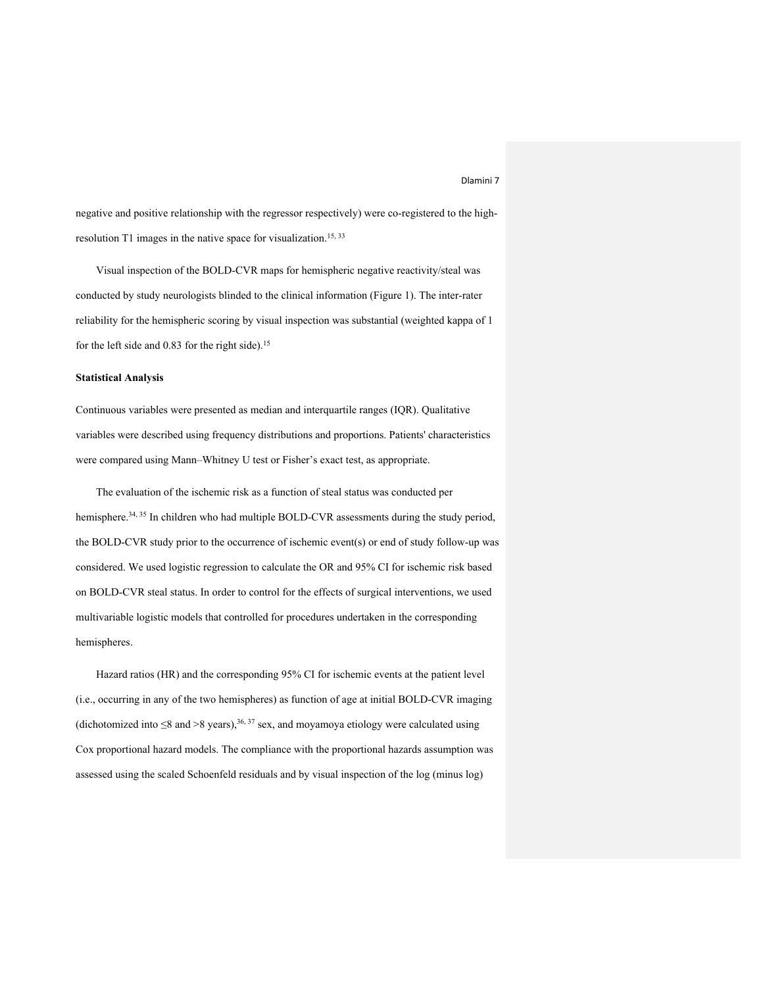negative and positive relationship with the regressor respectively) were co-registered to the highresolution T1 images in the native space for visualization.<sup>15, 33</sup>

Visual inspection of the BOLD-CVR maps for hemispheric negative reactivity/steal was conducted by study neurologists blinded to the clinical information (Figure 1). The inter-rater reliability for the hemispheric scoring by visual inspection was substantial (weighted kappa of 1 for the left side and 0.83 for the right side).<sup>15</sup>

# **Statistical Analysis**

Continuous variables were presented as median and interquartile ranges (IQR). Qualitative variables were described using frequency distributions and proportions. Patients' characteristics were compared using Mann–Whitney U test or Fisher's exact test, as appropriate.

The evaluation of the ischemic risk as a function of steal status was conducted per hemisphere.<sup>34, 35</sup> In children who had multiple BOLD-CVR assessments during the study period, the BOLD-CVR study prior to the occurrence of ischemic event(s) or end of study follow-up was considered. We used logistic regression to calculate the OR and 95% CI for ischemic risk based on BOLD-CVR steal status. In order to control for the effects of surgical interventions, we used multivariable logistic models that controlled for procedures undertaken in the corresponding hemispheres.

Hazard ratios (HR) and the corresponding 95% CI for ischemic events at the patient level (i.e., occurring in any of the two hemispheres) as function of age at initial BOLD-CVR imaging (dichotomized into  $\leq 8$  and  $\geq 8$  years),<sup>36, 37</sup> sex, and moyamoya etiology were calculated using Cox proportional hazard models. The compliance with the proportional hazards assumption was assessed using the scaled Schoenfeld residuals and by visual inspection of the log (minus log)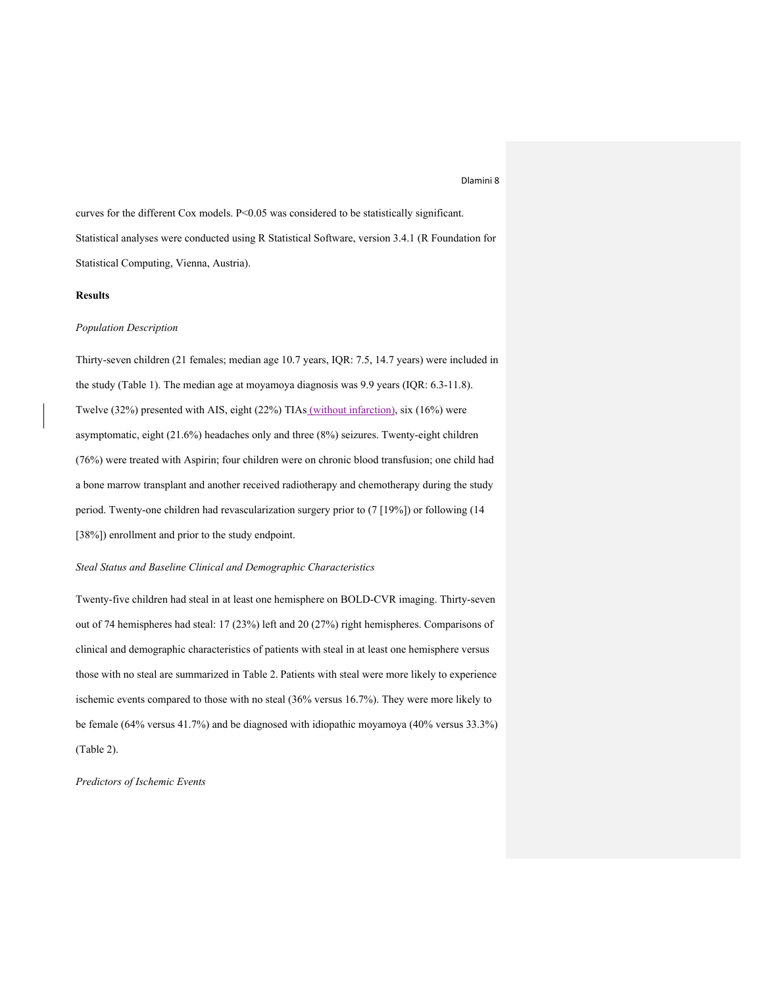curves for the different Cox models. P<0.05 was considered to be statistically significant. Statistical analyses were conducted using R Statistical Software, version 3.4.1 (R Foundation for Statistical Computing, Vienna, Austria).

# **Results**

### *Population Description*

Thirty-seven children (21 females; median age 10.7 years, IQR: 7.5, 14.7 years) were included in the study (Table 1). The median age at moyamoya diagnosis was 9.9 years (IQR: 6.3-11.8). Twelve (32%) presented with AIS, eight (22%) TIAs (without infarction), six (16%) were asymptomatic, eight (21.6%) headaches only and three (8%) seizures. Twenty-eight children (76%) were treated with Aspirin; four children were on chronic blood transfusion; one child had a bone marrow transplant and another received radiotherapy and chemotherapy during the study period. Twenty-one children had revascularization surgery prior to (7 [19%]) or following (14 [38%]) enrollment and prior to the study endpoint.

# *Steal Status and Baseline Clinical and Demographic Characteristics*

Twenty-five children had steal in at least one hemisphere on BOLD-CVR imaging. Thirty-seven out of 74 hemispheres had steal: 17 (23%) left and 20 (27%) right hemispheres. Comparisons of clinical and demographic characteristics of patients with steal in at least one hemisphere versus those with no steal are summarized in Table 2. Patients with steal were more likely to experience ischemic events compared to those with no steal (36% versus 16.7%). They were more likely to be female (64% versus 41.7%) and be diagnosed with idiopathic moyamoya (40% versus 33.3%) (Table 2).

*Predictors of Ischemic Events*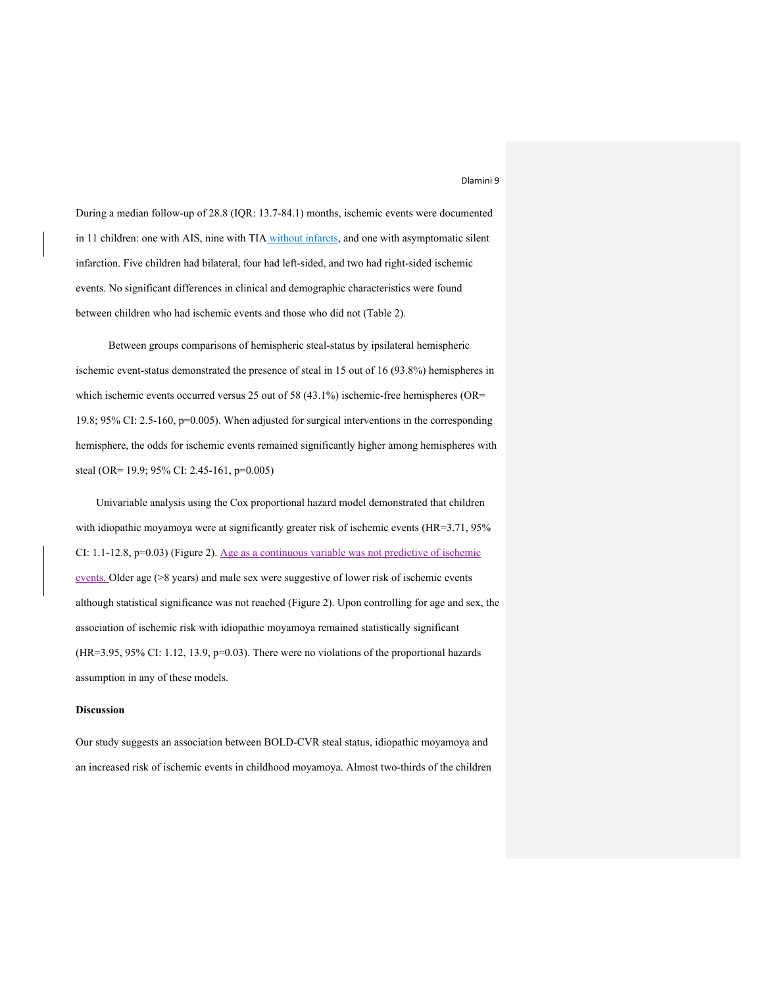During a median follow-up of 28.8 (IQR: 13.7-84.1) months, ischemic events were documented in 11 children: one with AIS, nine with TIA without infarcts, and one with asymptomatic silent infarction. Five children had bilateral, four had left-sided, and two had right-sided ischemic events. No significant differences in clinical and demographic characteristics were found between children who had ischemic events and those who did not (Table 2).

Between groups comparisons of hemispheric steal-status by ipsilateral hemispheric ischemic event-status demonstrated the presence of steal in 15 out of 16 (93.8%) hemispheres in which ischemic events occurred versus 25 out of 58 (43.1%) ischemic-free hemispheres (OR= 19.8; 95% CI: 2.5-160, p=0.005). When adjusted for surgical interventions in the corresponding hemisphere, the odds for ischemic events remained significantly higher among hemispheres with steal (OR= 19.9; 95% CI: 2.45-161, p=0.005)

Univariable analysis using the Cox proportional hazard model demonstrated that children with idiopathic moyamoya were at significantly greater risk of ischemic events (HR=3.71, 95% CI: 1.1-12.8, p=0.03) (Figure 2). Age as a continuous variable was not predictive of ischemic events. Older age (>8 years) and male sex were suggestive of lower risk of ischemic events although statistical significance was not reached (Figure 2). Upon controlling for age and sex, the association of ischemic risk with idiopathic moyamoya remained statistically significant (HR=3.95, 95% CI: 1.12, 13.9, p=0.03). There were no violations of the proportional hazards assumption in any of these models.

### **Discussion**

Our study suggests an association between BOLD-CVR steal status, idiopathic moyamoya and an increased risk of ischemic events in childhood moyamoya. Almost two-thirds of the children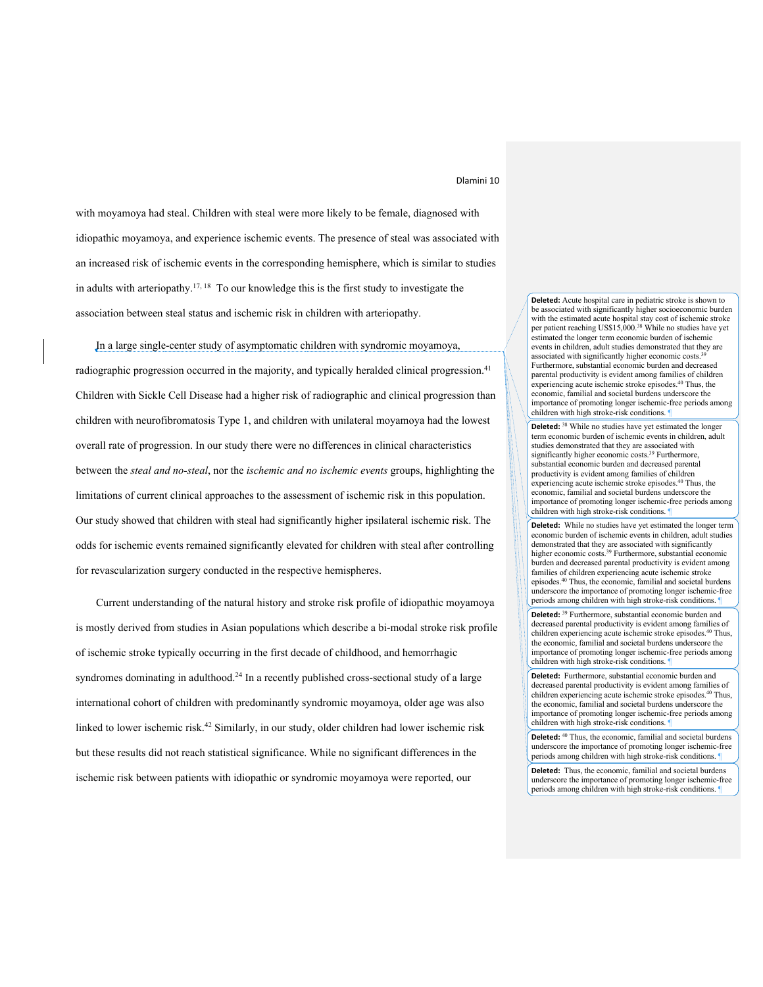with moyamoya had steal. Children with steal were more likely to be female, diagnosed with idiopathic moyamoya, and experience ischemic events. The presence of steal was associated with an increased risk of ischemic events in the corresponding hemisphere, which is similar to studies in adults with arteriopathy.<sup>17, 18</sup> To our knowledge this is the first study to investigate the association between steal status and ischemic risk in children with arteriopathy.

In a large single-center study of asymptomatic children with syndromic moyamoya, radiographic progression occurred in the majority, and typically heralded clinical progression.<sup>41</sup> Children with Sickle Cell Disease had a higher risk of radiographic and clinical progression than children with neurofibromatosis Type 1, and children with unilateral moyamoya had the lowest overall rate of progression. In our study there were no differences in clinical characteristics between the *steal and no-steal*, nor the *ischemic and no ischemic events* groups, highlighting the limitations of current clinical approaches to the assessment of ischemic risk in this population. Our study showed that children with steal had significantly higher ipsilateral ischemic risk. The odds for ischemic events remained significantly elevated for children with steal after controlling for revascularization surgery conducted in the respective hemispheres.

Current understanding of the natural history and stroke risk profile of idiopathic moyamoya is mostly derived from studies in Asian populations which describe a bi-modal stroke risk profile of ischemic stroke typically occurring in the first decade of childhood, and hemorrhagic syndromes dominating in adulthood.<sup>24</sup> In a recently published cross-sectional study of a large international cohort of children with predominantly syndromic moyamoya, older age was also linked to lower ischemic risk. <sup>42</sup> Similarly, in our study, older children had lower ischemic risk but these results did not reach statistical significance. While no significant differences in the ischemic risk between patients with idiopathic or syndromic moyamoya were reported, our

**Deleted:** Acute hospital care in pediatric stroke is shown to be associated with significantly higher socioeconomic burden with the estimated acute hospital stay cost of ischemic stroke per patient reaching US\$15,000. <sup>38</sup> While no studies have yet estimated the longer term economic burden of ischemic events in children, adult studies demonstrated that they are associated with significantly higher economic costs.<sup>39</sup> Furthermore, substantial economic burden and decreased parental productivity is evident among families of children experiencing acute ischemic stroke episodes. <sup>40</sup> Thus, the economic, familial and societal burdens underscore the importance of promoting longer ischemic-free periods among children with high stroke-risk conditions.

**Deleted:** <sup>38</sup> While no studies have yet estimated the longer term economic burden of ischemic events in children, adult studies demonstrated that they are associated with significantly higher economic costs. <sup>39</sup> Furthermore, substantial economic burden and decreased parental productivity is evident among families of children experiencing acute ischemic stroke episodes. <sup>40</sup> Thus, the economic, familial and societal burdens underscore the importance of promoting longer ischemic-free periods among children with high stroke-risk conditions.

**Deleted:** While no studies have yet estimated the longer term economic burden of ischemic events in children, adult studies demonstrated that they are associated with significantly higher economic costs. <sup>39</sup> Furthermore, substantial economic burden and decreased parental productivity is evident among families of children experiencing acute ischemic stroke episodes. <sup>40</sup> Thus, the economic, familial and societal burdens underscore the importance of promoting longer ischemic-free periods among children with high stroke-risk conditions.

**Deleted:** <sup>39</sup> Furthermore, substantial economic burden and decreased parental productivity is evident among families of children experiencing acute ischemic stroke episodes. <sup>40</sup> Thus, the economic, familial and societal burdens underscore the importance of promoting longer ischemic-free periods among children with high stroke-risk conditions.

**Deleted:** Furthermore, substantial economic burden and decreased parental productivity is evident among families of children experiencing acute ischemic stroke episodes. <sup>40</sup> Thus, the economic, familial and societal burdens underscore the importance of promoting longer ischemic-free periods among children with high stroke-risk conditions.

**Deleted:** <sup>40</sup> Thus, the economic, familial and societal burdens underscore the importance of promoting longer ischemic-free periods among children with high stroke-risk conditions.

**Deleted:** Thus, the economic, familial and societal burdens underscore the importance of promoting longer ischemic-free periods among children with high stroke-risk conditions.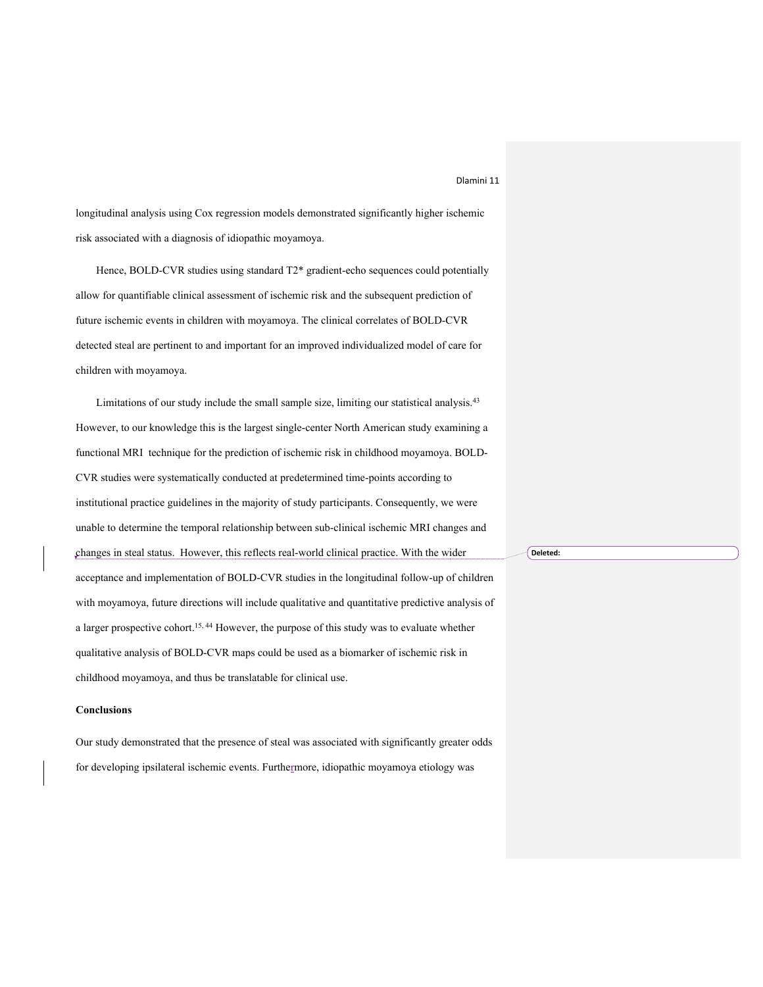longitudinal analysis using Cox regression models demonstrated significantly higher ischemic risk associated with a diagnosis of idiopathic moyamoya.

Hence, BOLD-CVR studies using standard T2\* gradient-echo sequences could potentially allow for quantifiable clinical assessment of ischemic risk and the subsequent prediction of future ischemic events in children with moyamoya. The clinical correlates of BOLD-CVR detected steal are pertinent to and important for an improved individualized model of care for children with moyamoya.

Limitations of our study include the small sample size, limiting our statistical analysis.<sup>43</sup> However, to our knowledge this is the largest single-center North American study examining a functional MRI technique for the prediction of ischemic risk in childhood moyamoya. BOLD-CVR studies were systematically conducted at predetermined time-points according to institutional practice guidelines in the majority of study participants. Consequently, we were unable to determine the temporal relationship between sub-clinical ischemic MRI changes and changes in steal status. However, this reflects real-world clinical practice. With the wider acceptance and implementation of BOLD-CVR studies in the longitudinal follow-up of children with moyamoya, future directions will include qualitative and quantitative predictive analysis of a larger prospective cohort.<sup>15, 44</sup> However, the purpose of this study was to evaluate whether qualitative analysis of BOLD-CVR maps could be used as a biomarker of ischemic risk in childhood moyamoya, and thus be translatable for clinical use.

### **Conclusions**

Our study demonstrated that the presence of steal was associated with significantly greater odds for developing ipsilateral ischemic events. Furthermore, idiopathic moyamoya etiology was

**Deleted:**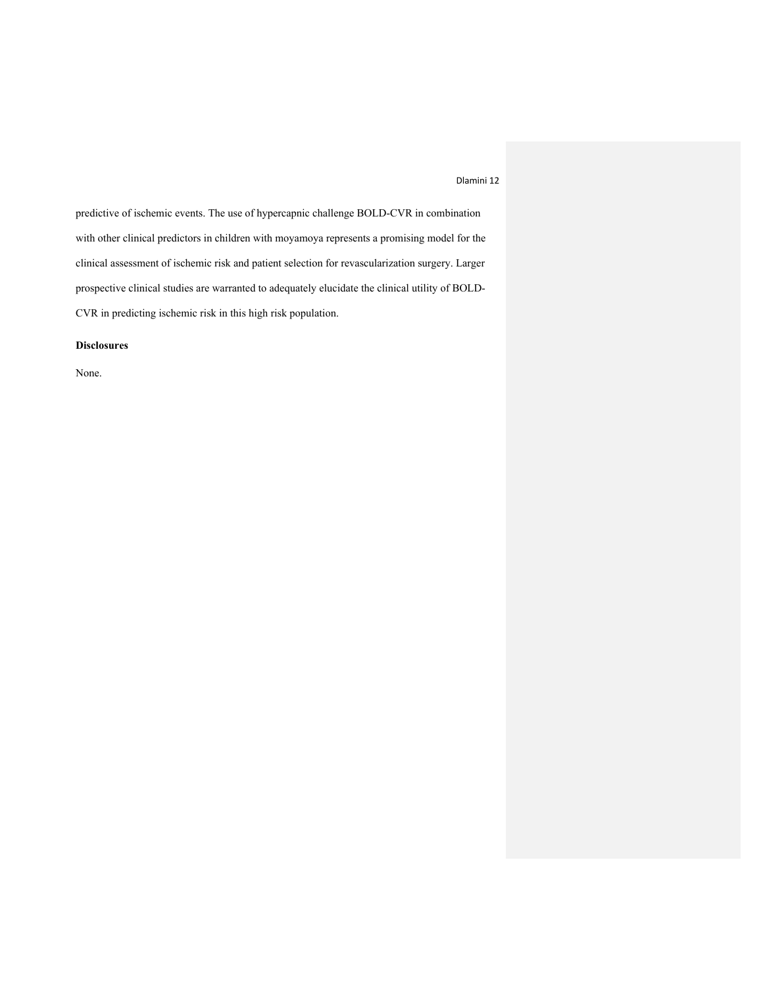predictive of ischemic events. The use of hypercapnic challenge BOLD-CVR in combination with other clinical predictors in children with moyamoya represents a promising model for the clinical assessment of ischemic risk and patient selection for revascularization surgery. Larger prospective clinical studies are warranted to adequately elucidate the clinical utility of BOLD-CVR in predicting ischemic risk in this high risk population.

# **Disclosures**

None.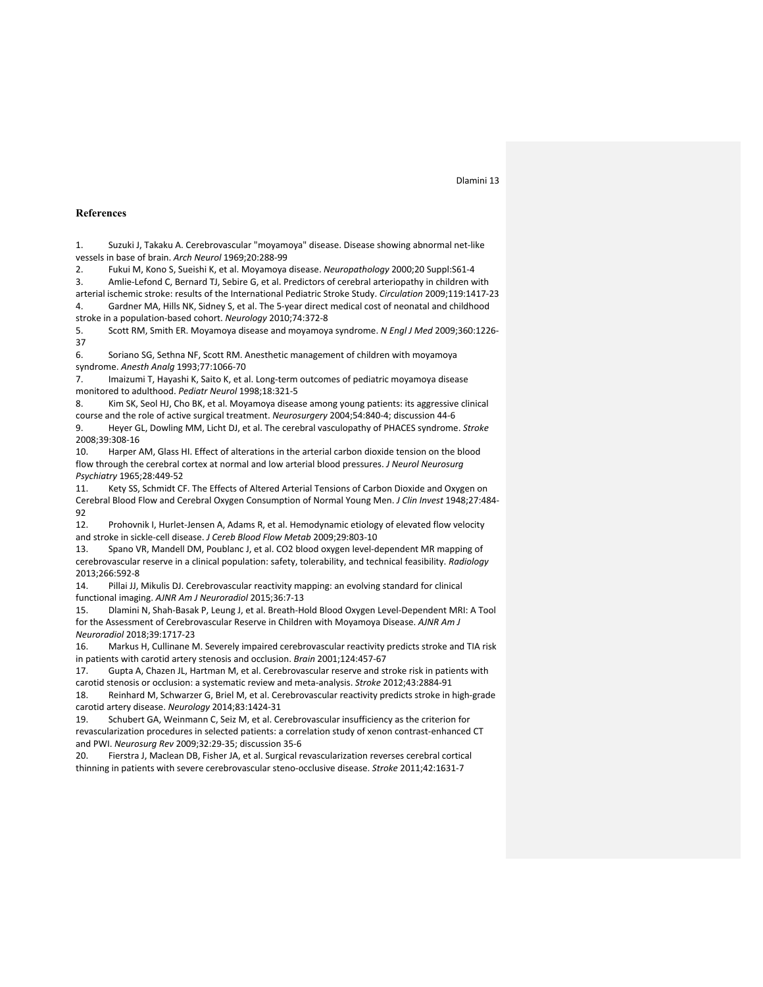### **References**

1. Suzuki J, Takaku A. Cerebrovascular "moyamoya" disease. Disease showing abnormal net-like vessels in base of brain. *Arch Neurol* 1969;20:288-99

2. Fukui M, Kono S, Sueishi K, et al. Moyamoya disease. *Neuropathology* 2000;20 Suppl:S61-4

3. Amlie-Lefond C, Bernard TJ, Sebire G, et al. Predictors of cerebral arteriopathy in children with

arterial ischemic stroke: results of the International Pediatric Stroke Study. *Circulation* 2009;119:1417-23 4. Gardner MA, Hills NK, Sidney S, et al. The 5-year direct medical cost of neonatal and childhood stroke in a population-based cohort. *Neurology* 2010;74:372-8

5. Scott RM, Smith ER. Moyamoya disease and moyamoya syndrome. *N Engl J Med* 2009;360:1226- 37

6. Soriano SG, Sethna NF, Scott RM. Anesthetic management of children with moyamoya syndrome. *Anesth Analg* 1993;77:1066-70

7. Imaizumi T, Hayashi K, Saito K, et al. Long-term outcomes of pediatric moyamoya disease monitored to adulthood. *Pediatr Neurol* 1998;18:321-5

8. Kim SK, Seol HJ, Cho BK, et al. Moyamoya disease among young patients: its aggressive clinical course and the role of active surgical treatment. *Neurosurgery* 2004;54:840-4; discussion 44-6

9. Heyer GL, Dowling MM, Licht DJ, et al. The cerebral vasculopathy of PHACES syndrome. *Stroke* 2008;39:308-16

10. Harper AM, Glass HI. Effect of alterations in the arterial carbon dioxide tension on the blood flow through the cerebral cortex at normal and low arterial blood pressures. *J Neurol Neurosurg Psychiatry* 1965;28:449-52

11. Kety SS, Schmidt CF. The Effects of Altered Arterial Tensions of Carbon Dioxide and Oxygen on Cerebral Blood Flow and Cerebral Oxygen Consumption of Normal Young Men. *J Clin Invest* 1948;27:484- 92

12. Prohovnik I, Hurlet-Jensen A, Adams R, et al. Hemodynamic etiology of elevated flow velocity and stroke in sickle-cell disease. *J Cereb Blood Flow Metab* 2009;29:803-10

13. Spano VR, Mandell DM, Poublanc J, et al. CO2 blood oxygen level-dependent MR mapping of cerebrovascular reserve in a clinical population: safety, tolerability, and technical feasibility. *Radiology* 2013;266:592-8

14. Pillai JJ, Mikulis DJ. Cerebrovascular reactivity mapping: an evolving standard for clinical functional imaging. *AJNR Am J Neuroradiol* 2015;36:7-13

15. Dlamini N, Shah-Basak P, Leung J, et al. Breath-Hold Blood Oxygen Level-Dependent MRI: A Tool for the Assessment of Cerebrovascular Reserve in Children with Moyamoya Disease. *AJNR Am J Neuroradiol* 2018;39:1717-23

16. Markus H, Cullinane M. Severely impaired cerebrovascular reactivity predicts stroke and TIA risk in patients with carotid artery stenosis and occlusion. *Brain* 2001;124:457-67

17. Gupta A, Chazen JL, Hartman M, et al. Cerebrovascular reserve and stroke risk in patients with carotid stenosis or occlusion: a systematic review and meta-analysis. *Stroke* 2012;43:2884-91

18. Reinhard M, Schwarzer G, Briel M, et al. Cerebrovascular reactivity predicts stroke in high-grade carotid artery disease. *Neurology* 2014;83:1424-31

19. Schubert GA, Weinmann C, Seiz M, et al. Cerebrovascular insufficiency as the criterion for revascularization procedures in selected patients: a correlation study of xenon contrast-enhanced CT and PWI. *Neurosurg Rev* 2009;32:29-35; discussion 35-6

20. Fierstra J, Maclean DB, Fisher JA, et al. Surgical revascularization reverses cerebral cortical thinning in patients with severe cerebrovascular steno-occlusive disease. *Stroke* 2011;42:1631-7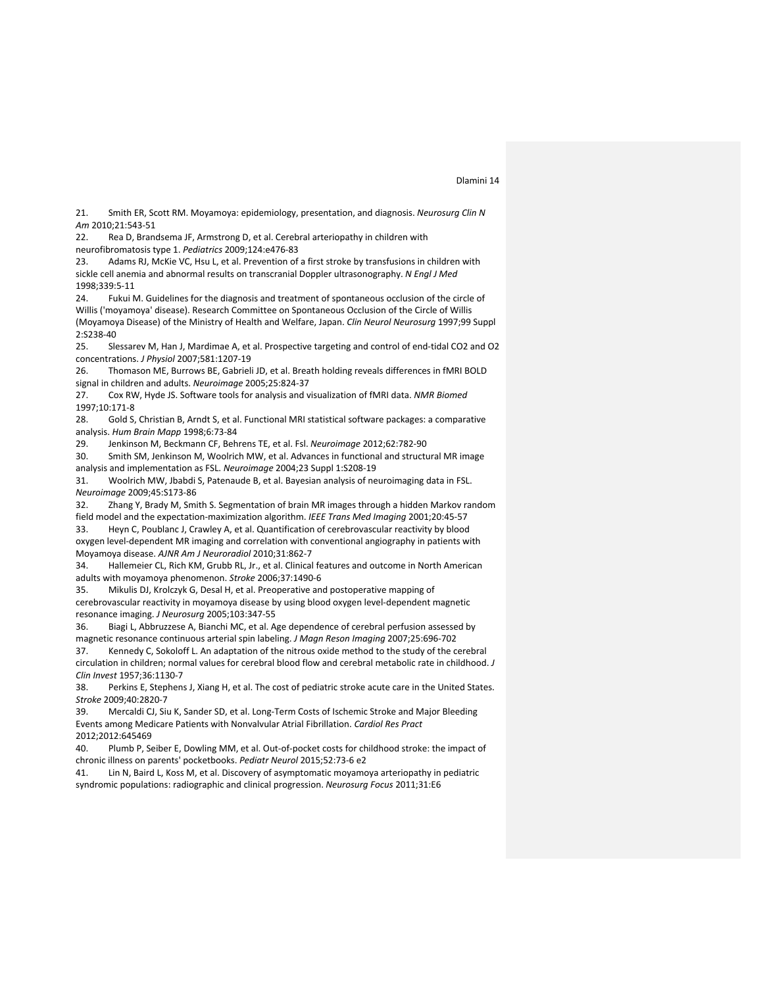21. Smith ER, Scott RM. Moyamoya: epidemiology, presentation, and diagnosis. *Neurosurg Clin N Am* 2010;21:543-51

22. Rea D, Brandsema JF, Armstrong D, et al. Cerebral arteriopathy in children with neurofibromatosis type 1. *Pediatrics* 2009;124:e476-83

23. Adams RJ, McKie VC, Hsu L, et al. Prevention of a first stroke by transfusions in children with sickle cell anemia and abnormal results on transcranial Doppler ultrasonography. *N Engl J Med* 1998;339:5-11

24. Fukui M. Guidelines for the diagnosis and treatment of spontaneous occlusion of the circle of Willis ('moyamoya' disease). Research Committee on Spontaneous Occlusion of the Circle of Willis (Moyamoya Disease) of the Ministry of Health and Welfare, Japan. *Clin Neurol Neurosurg* 1997;99 Suppl 2:S238-40

25. Slessarev M, Han J, Mardimae A, et al. Prospective targeting and control of end-tidal CO2 and O2 concentrations. *J Physiol* 2007;581:1207-19

26. Thomason ME, Burrows BE, Gabrieli JD, et al. Breath holding reveals differences in fMRI BOLD signal in children and adults. *Neuroimage* 2005;25:824-37

27. Cox RW, Hyde JS. Software tools for analysis and visualization of fMRI data. *NMR Biomed* 1997;10:171-8

28. Gold S, Christian B, Arndt S, et al. Functional MRI statistical software packages: a comparative analysis. *Hum Brain Mapp* 1998;6:73-84

29. Jenkinson M, Beckmann CF, Behrens TE, et al. Fsl. *Neuroimage* 2012;62:782-90

30. Smith SM, Jenkinson M, Woolrich MW, et al. Advances in functional and structural MR image analysis and implementation as FSL. *Neuroimage* 2004;23 Suppl 1:S208-19

31. Woolrich MW, Jbabdi S, Patenaude B, et al. Bayesian analysis of neuroimaging data in FSL. *Neuroimage* 2009;45:S173-86

32. Zhang Y, Brady M, Smith S. Segmentation of brain MR images through a hidden Markov random field model and the expectation-maximization algorithm. *IEEE Trans Med Imaging* 2001;20:45-57

33. Heyn C, Poublanc J, Crawley A, et al. Quantification of cerebrovascular reactivity by blood oxygen level-dependent MR imaging and correlation with conventional angiography in patients with Moyamoya disease. *AJNR Am J Neuroradiol* 2010;31:862-7

34. Hallemeier CL, Rich KM, Grubb RL, Jr., et al. Clinical features and outcome in North American adults with moyamoya phenomenon. *Stroke* 2006;37:1490-6

35. Mikulis DJ, Krolczyk G, Desal H, et al. Preoperative and postoperative mapping of cerebrovascular reactivity in moyamoya disease by using blood oxygen level-dependent magnetic resonance imaging. *J Neurosurg* 2005;103:347-55

36. Biagi L, Abbruzzese A, Bianchi MC, et al. Age dependence of cerebral perfusion assessed by magnetic resonance continuous arterial spin labeling. *J Magn Reson Imaging* 2007;25:696-702

37. Kennedy C, Sokoloff L. An adaptation of the nitrous oxide method to the study of the cerebral circulation in children; normal values for cerebral blood flow and cerebral metabolic rate in childhood. *J Clin Invest* 1957;36:1130-7

38. Perkins E, Stephens J, Xiang H, et al. The cost of pediatric stroke acute care in the United States. *Stroke* 2009;40:2820-7

39. Mercaldi CJ, Siu K, Sander SD, et al. Long-Term Costs of Ischemic Stroke and Major Bleeding Events among Medicare Patients with Nonvalvular Atrial Fibrillation. *Cardiol Res Pract* 2012;2012:645469

40. Plumb P, Seiber E, Dowling MM, et al. Out-of-pocket costs for childhood stroke: the impact of chronic illness on parents' pocketbooks. *Pediatr Neurol* 2015;52:73-6 e2

41. Lin N, Baird L, Koss M, et al. Discovery of asymptomatic moyamoya arteriopathy in pediatric syndromic populations: radiographic and clinical progression. *Neurosurg Focus* 2011;31:E6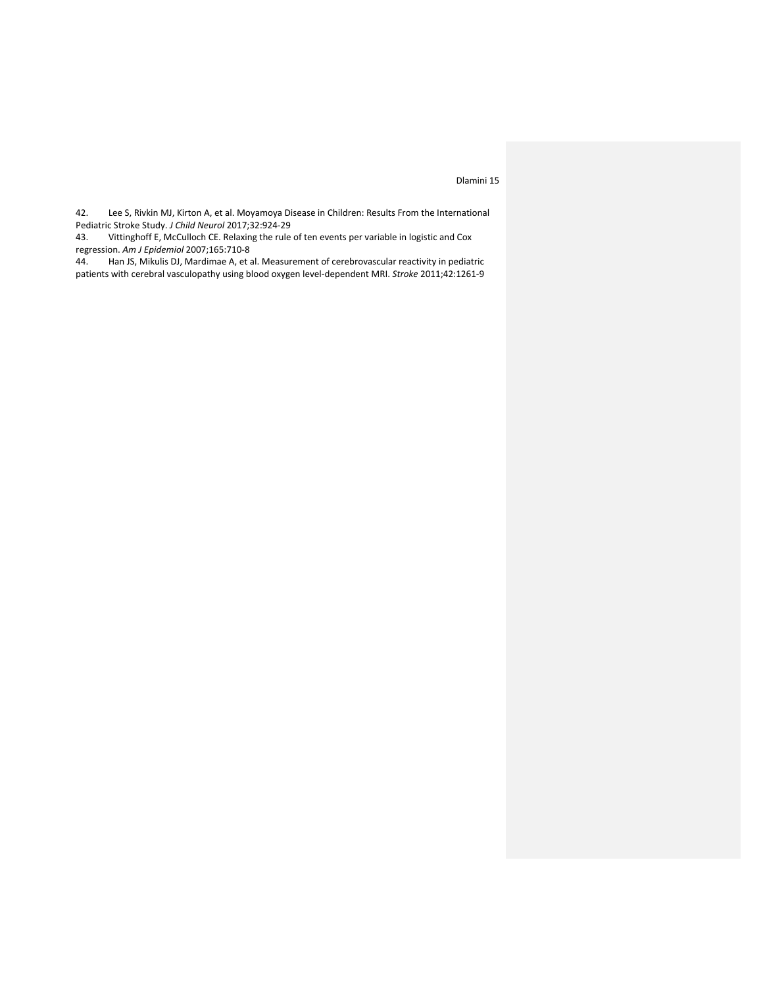42. Lee S, Rivkin MJ, Kirton A, et al. Moyamoya Disease in Children: Results From the International Pediatric Stroke Study. *J Child Neurol* 2017;32:924-29

43. Vittinghoff E, McCulloch CE. Relaxing the rule of ten events per variable in logistic and Cox regression. *Am J Epidemiol* 2007;165:710-8

44. Han JS, Mikulis DJ, Mardimae A, et al. Measurement of cerebrovascular reactivity in pediatric patients with cerebral vasculopathy using blood oxygen level-dependent MRI. *Stroke* 2011;42:1261-9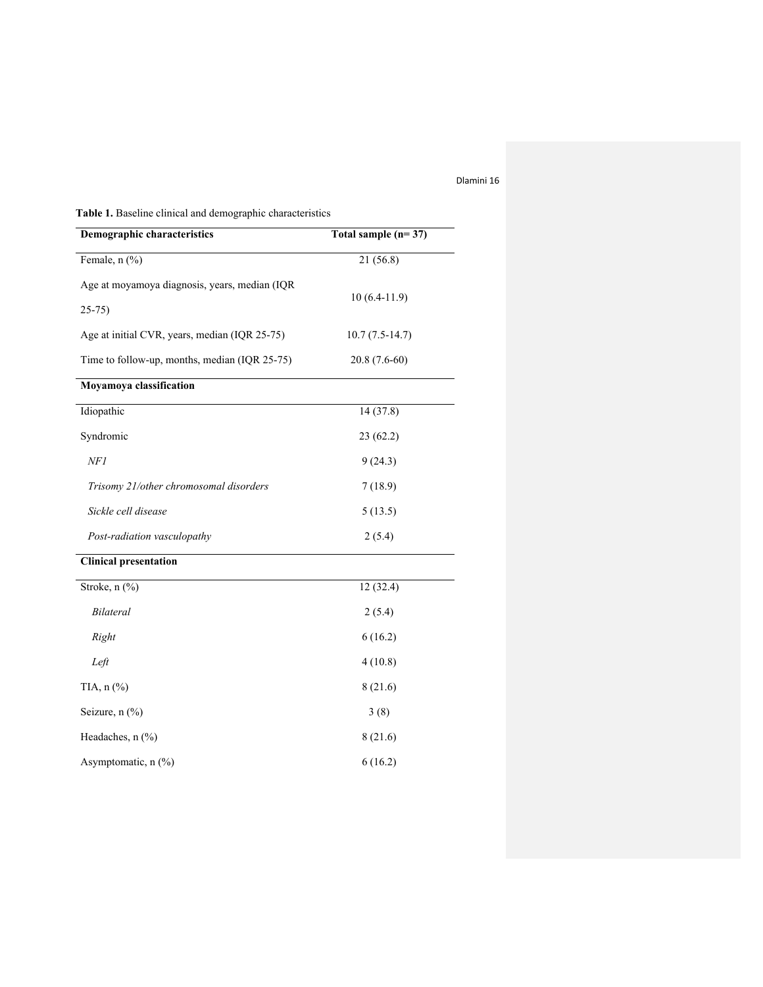**Table 1.** Baseline clinical and demographic characteristics

| <b>Demographic characteristics</b>                        | Total sample $(n=37)$ |
|-----------------------------------------------------------|-----------------------|
| Female, n (%)                                             | 21 (56.8)             |
| Age at moyamoya diagnosis, years, median (IQR<br>$25-75)$ | $10(6.4-11.9)$        |
| Age at initial CVR, years, median (IQR 25-75)             | $10.7(7.5-14.7)$      |
| Time to follow-up, months, median (IQR 25-75)             | $20.8(7.6-60)$        |
| Moyamoya classification                                   |                       |
| Idiopathic                                                | 14(37.8)              |
| Syndromic                                                 | 23 (62.2)             |
| NFI                                                       | 9(24.3)               |
| Trisomy 21/other chromosomal disorders                    | 7(18.9)               |
| Sickle cell disease                                       | 5(13.5)               |
| Post-radiation vasculopathy                               | 2(5.4)                |
| <b>Clinical presentation</b>                              |                       |
| Stroke, n (%)                                             | 12(32.4)              |
| Bilateral                                                 | 2(5.4)                |
| Right                                                     | 6(16.2)               |
| Left                                                      | 4(10.8)               |
| TIA, n (%)                                                | 8(21.6)               |
| Seizure, n (%)                                            | 3(8)                  |
| Headaches, n (%)                                          | 8(21.6)               |
| Asymptomatic, n (%)                                       | 6(16.2)               |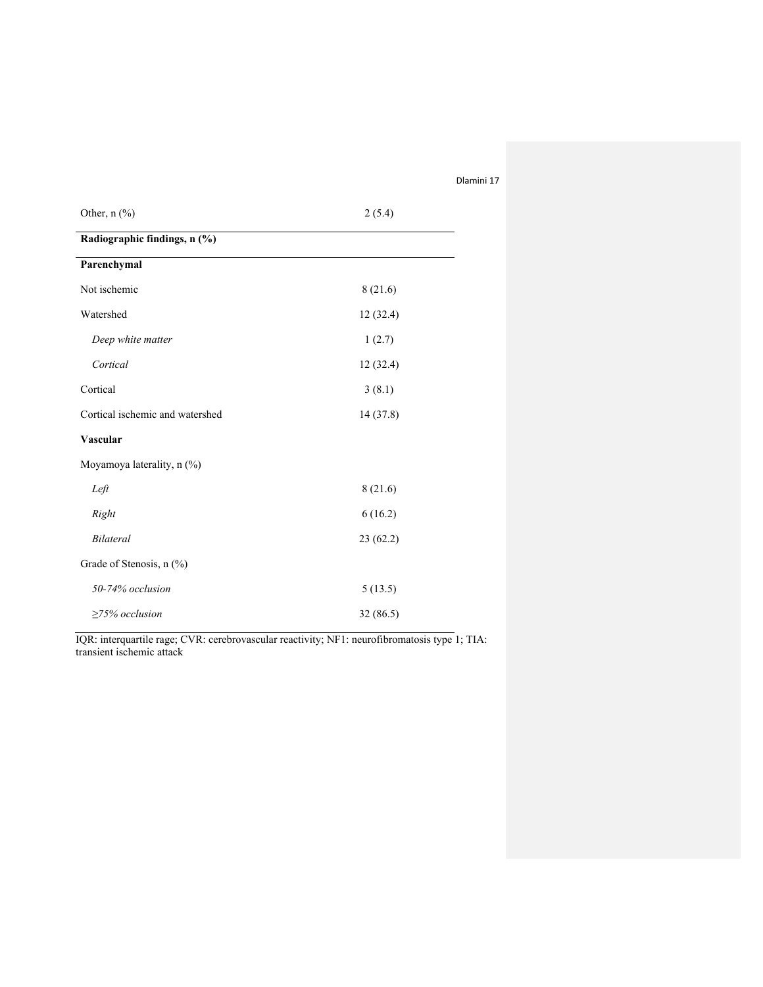| Other, n (%)                    | 2(5.4)    |  |  |  |
|---------------------------------|-----------|--|--|--|
| Radiographic findings, n (%)    |           |  |  |  |
| Parenchymal                     |           |  |  |  |
| Not ischemic                    | 8(21.6)   |  |  |  |
| Watershed                       | 12(32.4)  |  |  |  |
| Deep white matter               | 1(2.7)    |  |  |  |
| Cortical                        | 12(32.4)  |  |  |  |
| Cortical                        | 3(8.1)    |  |  |  |
| Cortical ischemic and watershed | 14 (37.8) |  |  |  |
| <b>Vascular</b>                 |           |  |  |  |
| Moyamoya laterality, n (%)      |           |  |  |  |
| Left                            | 8(21.6)   |  |  |  |
| Right                           | 6(16.2)   |  |  |  |
| <b>Bilateral</b>                | 23(62.2)  |  |  |  |
| Grade of Stenosis, n (%)        |           |  |  |  |
| 50-74% occlusion                | 5(13.5)   |  |  |  |
| $\geq$ 75% occlusion            | 32 (86.5) |  |  |  |

IQR: interquartile rage; CVR: cerebrovascular reactivity; NF1: neurofibromatosis type 1; TIA: transient ischemic attack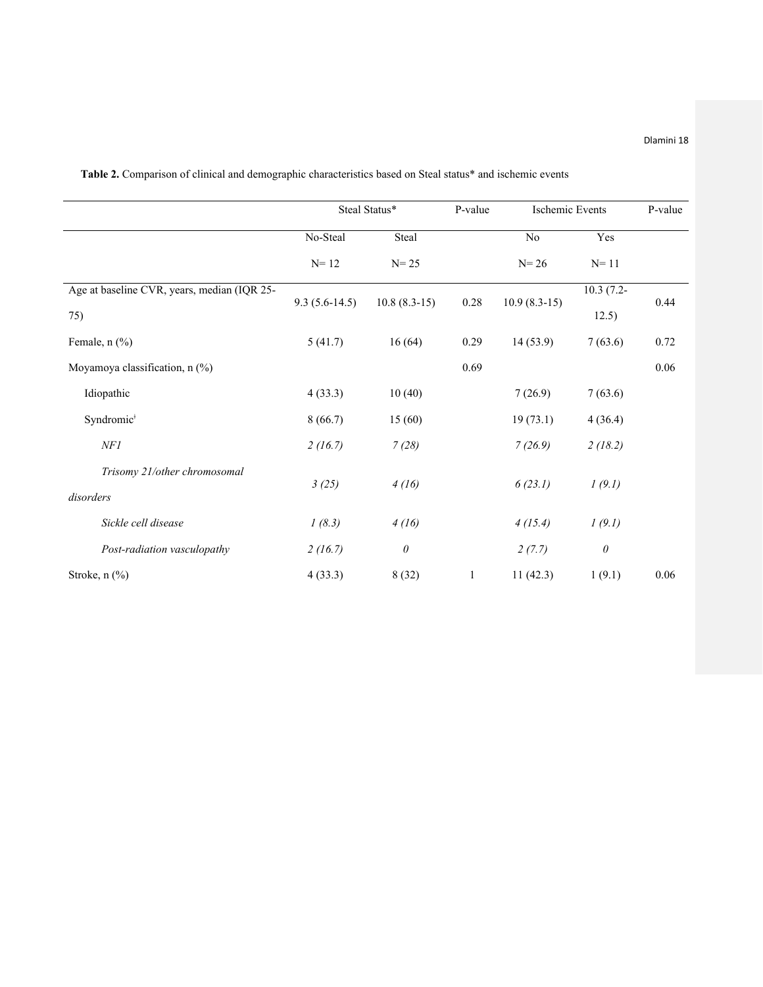|                                             | Steal Status*   |                | P-value                | Ischemic Events |             | P-value |
|---------------------------------------------|-----------------|----------------|------------------------|-----------------|-------------|---------|
|                                             | No-Steal        | Steal          |                        | No              | Yes         |         |
|                                             | $N=12$          | $N = 25$       |                        | $N = 26$        | $N=11$      |         |
| Age at baseline CVR, years, median (IQR 25- | $9.3(5.6-14.5)$ | $10.8(8.3-15)$ | $10.9(8.3-15)$<br>0.28 |                 | $10.3(7.2-$ | 0.44    |
| 75)                                         |                 |                |                        |                 | 12.5)       |         |
| Female, $n$ $(\%)$                          | 5(41.7)         | 16(64)         | 0.29                   | 14(53.9)        | 7(63.6)     | 0.72    |
| Moyamoya classification, n (%)              |                 |                | 0.69                   |                 |             | 0.06    |
| Idiopathic                                  | 4(33.3)         | 10(40)         |                        | 7(26.9)         | 7(63.6)     |         |
| Syndromic <sup>#</sup>                      | 8(66.7)         | 15(60)         |                        | 19(73.1)        | 4(36.4)     |         |
| NF1                                         | 2(16.7)         | 7(28)          |                        | 7(26.9)         | 2(18.2)     |         |
| Trisomy 21/other chromosomal<br>disorders   | 3(25)           | 4(16)          |                        | 6(23.1)         | 1(9.1)      |         |
| Sickle cell disease                         | 1(8.3)          | 4(16)          |                        | 4(15.4)         | 1(9.1)      |         |
| Post-radiation vasculopathy                 | 2(16.7)         | $\theta$       |                        | 2(7.7)          | $\theta$    |         |
| Stroke, $n$ $(\%)$                          | 4(33.3)         | 8(32)          | 1                      | 11(42.3)        | 1(9.1)      | 0.06    |

**Table 2.** Comparison of clinical and demographic characteristics based on Steal status\* and ischemic events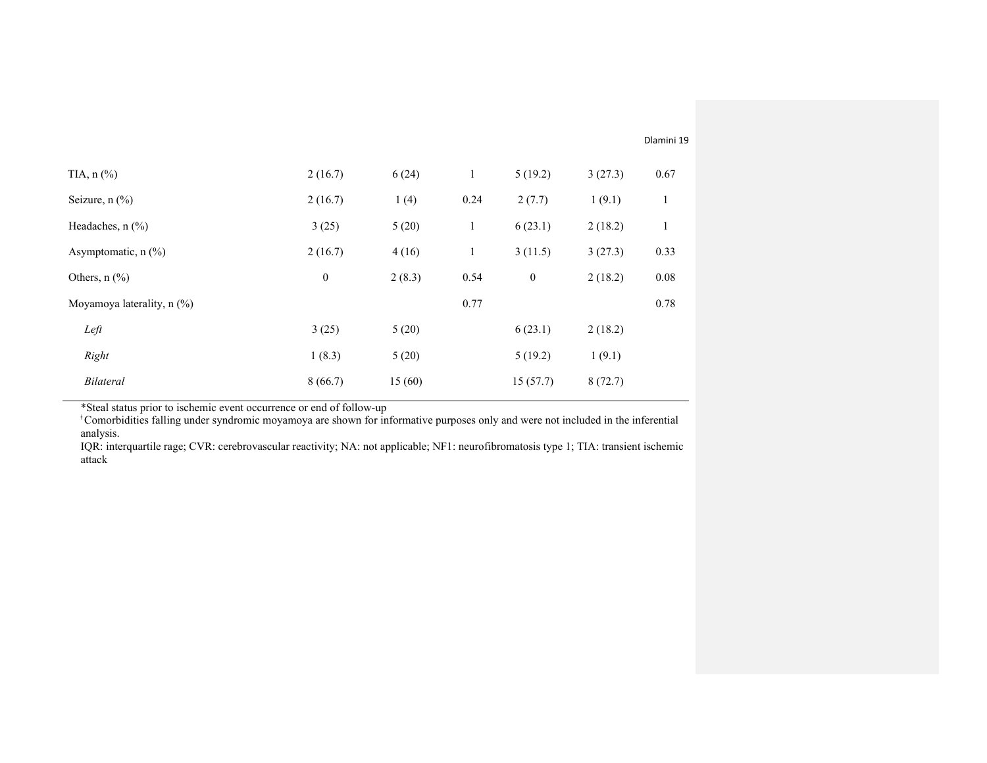| TIA, $n$ $\left(\frac{9}{6}\right)$    | 2(16.7)          | 6(24)  | 1    | 5(19.2)          | 3(27.3) | 0.67 |
|----------------------------------------|------------------|--------|------|------------------|---------|------|
| Seizure, $n$ $(\%)$                    | 2(16.7)          | 1(4)   | 0.24 | 2(7.7)           | 1(9.1)  | 1    |
| Headaches, $n$ $(\%)$                  | 3(25)            | 5(20)  | 1    | 6(23.1)          | 2(18.2) | 1    |
| Asymptomatic, $n$ (%)                  | 2(16.7)          | 4(16)  | 1    | 3(11.5)          | 3(27.3) | 0.33 |
| Others, $n$ $\left(\frac{9}{0}\right)$ | $\boldsymbol{0}$ | 2(8.3) | 0.54 | $\boldsymbol{0}$ | 2(18.2) | 0.08 |
| Moyamoya laterality, $n$ (%)           |                  |        | 0.77 |                  |         | 0.78 |
| Left                                   | 3(25)            | 5(20)  |      | 6(23.1)          | 2(18.2) |      |
| Right                                  | 1(8.3)           | 5(20)  |      | 5(19.2)          | 1(9.1)  |      |
| Bilateral                              | 8(66.7)          | 15(60) |      | 15(57.7)         | 8(72.7) |      |
|                                        |                  |        |      |                  |         |      |

\*Steal status prior to ischemic event occurrence or end of follow-up<br><sup>†</sup>Comorbidities falling under syndromic moyamoya are shown for informative purposes only and were not included in the inferential analysis.

IQR: interquartile rage; CVR: cerebrovascular reactivity; NA: not applicable; NF1: neurofibromatosis type 1; TIA: transient ischemic attack